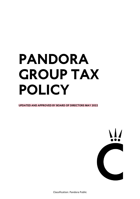# **PANDORA GROUP TAX POLICY**

**UPDATED AND APPROVED BY BOARD OF DIRECTORS MAY 2022**



Classification: Pandora Public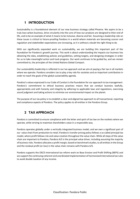#### **1 INTRODUCTION**

Sustainability is a foundational element of our new business strategy called Phoenix. We aspire to be a truly low-carbon business, drive circularity into the core of how our products are designed to their end of life, and to be an example of what it means to be inclusive, diverse and fair. Assuming a leadership role on these issues is critical to future-proofing Pandora in a world where materials are becoming scarcer and regulation and stakeholder expectations are increasing, so it is without a doubt the right thing to do.

With our significantly expanded work on sustainability, we are building this important part of the foundation for Pandora's growth journey. This work is about understanding the impacts our business has obtaining the data, establishing policies and guidelines, setting targets, and designing strategies in order for us to take meaningful action and track progress. Our work continues to be guided by, and we remain committed to, the principles of the United Nations Global Compact.

Our sustainability leadership is reflected in our tax approach and we aim at paying a fair tax in all markets where we operate. Pandora considers tax to play a key role for societies and an important contribution in order to reach the goals of the global sustainability agenda.

Pandora's values expressed in our Code of Conduct is the foundation for our approach to tax management. Pandora's commitment to ethical business practices means that we conduct business lawfully, appropriately and with honesty and integrity by adhering to applicable laws and regulations, exercising sound judgment and taking actions to minimize our environmental impact on the planet.

The purpose of our tax policy is to establish a clear and aligned tax approach to all transactional, reporting and compliance aspects of Pandora. The policy applies to all entities in the Pandora Group.

#### **2 TAX APPROACH**

Pandora is committed to ensure compliance with the letter and spirit of tax law on the markets where we operate, while striving to maximise shareholders value in a responsible way.

Pandora operates globally under a vertically integrated business model, and we own a significant part of our value chain from production to retail. Pandora's transfer pricing policy follows a so-called principal tax model, where profit follows risk and value creation throughout the value chain. While all steps of the value chain are important to Pandora, Pandora A/S is the principal value driver, including assuming the majority of business risks. Pandora allocates a profit margin, based on benchmark studies, to all entities in the Group and the residual profit (or loss) in the value chain remains with Pandora A/S.

Pandora supports the OECD international tax reform work on Base Erosion and Profit Shifting (BEPS) and we support the continuing coherent and coordinated implementation of harmonized international tax rules to avoid double taxation of any income.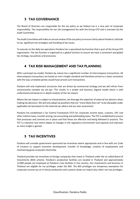## **3 TAX GOVERNANCE**

The Board of Directors are responsible for the tax policy as we believe tax is a core part of corporate responsibility. The responsibility for tax risk management lies with the Group CFO and is overseen by the Audit Committee.

The Audit Committee will make an annual review of the tax policy to ensure clarity about Pandora's attitude to tax, significant tax strategies and handling of tax issues.

To execute on the daily tax operations Pandora has a specialised tax function that is part of the Group CFO organization. The tax function is organised as a global function to ensure we have a consistent and global tax strategy, tax policies and processes.

## **4 TAX RISK MANAGEMENT AND TAX PLANNING**

With a principal tax model, Pandora by nature has a significant number of intercompany transactions. All intercompany transactions are based on arm's length standard and therefore priced on a basis consistent with the way unrelated parties would have priced such transactions.

Pandora will only implement structures that are driven by commercial strategy and we will refrain from unnecessarily complex tax set-ups. This results in a simple and business aligned model which is well understood and based on in-depth analysis of the tax impact.

Where the tax impact is subject to interpretation, we leverage the expertise of external tax advisors when making tax decisions. We will only adopt tax positions that are "more likely than not" to be allowable under applicable tax law based on the external tax advice and our own assessment.

Pandora has established a Tax Control Framework (TCF) for corporate income taxes, customs, VAT and other indirect taxes, transfer pricing, tax accounting and withholding taxes. The TCF is established to ensure that processes and controls are in place and that these are effective and being followed in practice. The TCF is a dynamic tool which adapts to changes in the regulatory environment and expands and improves as more insight is gained.

## **5 TAX INCENTIVES**

Pandora will consider government sponsored tax incentives where appropriate and in line with our Code of Conduct to support economic development, transfer of knowledge, creation of employment and maintaining good corporate citizenship.

Thailand provides tax incentives to foreign companies that invest in Thailand under the so-called Board of Investments (BOI) scheme. Pandora's production facilities are located in Thailand and approximately 12,000 people are employed at Pandora's two facilities in the country. Our investments and business in Thailand are eligible for tax privileges under the BOI. The BOI privileges are temporary exemption for corporate income tax on in-house production and customs duties on import plus other non-tax privileges.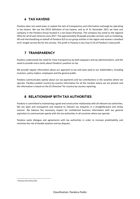#### **6 TAX HAVENS**

Pandora does not avoid taxes or exploit the lack of transparency and information exchange by operating in tax havens. We use the OECD definition of tax havens, and as of 31 December 2021 we have one company in the Pandora Group located in a tax haven (Panama). The company has acted as the regional office for all of Latin America since 2017. The approximately 50 people provides services such as marketing, HR and merchandizing on behalf of Pandora A/S to our group entities in the region and receive a standard arm's length service fee for this activity. The profit in Panama is less than 0.1% of Pandora's total profit.

## **7 TRANSPARENCY**

Pandora understands the need for more transparency by both taxpayers and tax administrations, and the need to provide more clarity about Pandora's position on tax.

We provide regular information about our approach to tax and taxes paid to our stakeholders, including investors, policy makers, employees and the general public.

Pandora communicates openly about our tax payments and tax contributions in the societies where we operate. Pandora publish country-by-country information for all the markets where we are present and the information is based on the EU Directive<sup>1</sup> for country-by-country reporting.

#### **8 RELATIONSHIP WITH TAX AUTHORITIES**

Pandora is committed to maintaining a good and constructive relationship with all relevant tax authorities. We are open and transparent and respond to relevant tax enquiries in a straightforward and timely manner. We balance the necessary respect for confidential business information with our general aspiration to communicate openly with the tax authorities in all countries where we operate.

Pandora seeks dialogue and agreements with tax authorities in order to increase predictability and minimise the risk of double taxation and tax disputes.

<sup>1</sup> Directive (EU) 2021/2101